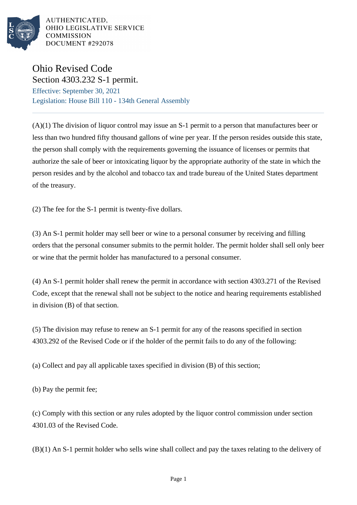

AUTHENTICATED. OHIO LEGISLATIVE SERVICE **COMMISSION** DOCUMENT #292078

## Ohio Revised Code Section 4303.232 S-1 permit.

Effective: September 30, 2021 Legislation: House Bill 110 - 134th General Assembly

(A)(1) The division of liquor control may issue an S-1 permit to a person that manufactures beer or less than two hundred fifty thousand gallons of wine per year. If the person resides outside this state, the person shall comply with the requirements governing the issuance of licenses or permits that authorize the sale of beer or intoxicating liquor by the appropriate authority of the state in which the person resides and by the alcohol and tobacco tax and trade bureau of the United States department of the treasury.

(2) The fee for the S-1 permit is twenty-five dollars.

(3) An S-1 permit holder may sell beer or wine to a personal consumer by receiving and filling orders that the personal consumer submits to the permit holder. The permit holder shall sell only beer or wine that the permit holder has manufactured to a personal consumer.

(4) An S-1 permit holder shall renew the permit in accordance with section 4303.271 of the Revised Code, except that the renewal shall not be subject to the notice and hearing requirements established in division (B) of that section.

(5) The division may refuse to renew an S-1 permit for any of the reasons specified in section 4303.292 of the Revised Code or if the holder of the permit fails to do any of the following:

(a) Collect and pay all applicable taxes specified in division (B) of this section;

(b) Pay the permit fee;

(c) Comply with this section or any rules adopted by the liquor control commission under section 4301.03 of the Revised Code.

(B)(1) An S-1 permit holder who sells wine shall collect and pay the taxes relating to the delivery of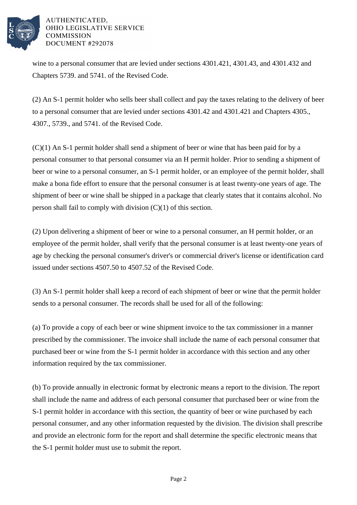

## AUTHENTICATED. OHIO LEGISLATIVE SERVICE **COMMISSION** DOCUMENT #292078

wine to a personal consumer that are levied under sections 4301.421, 4301.43, and 4301.432 and Chapters 5739. and 5741. of the Revised Code.

(2) An S-1 permit holder who sells beer shall collect and pay the taxes relating to the delivery of beer to a personal consumer that are levied under sections 4301.42 and 4301.421 and Chapters 4305., 4307., 5739., and 5741. of the Revised Code.

(C)(1) An S-1 permit holder shall send a shipment of beer or wine that has been paid for by a personal consumer to that personal consumer via an H permit holder. Prior to sending a shipment of beer or wine to a personal consumer, an S-1 permit holder, or an employee of the permit holder, shall make a bona fide effort to ensure that the personal consumer is at least twenty-one years of age. The shipment of beer or wine shall be shipped in a package that clearly states that it contains alcohol. No person shall fail to comply with division (C)(1) of this section.

(2) Upon delivering a shipment of beer or wine to a personal consumer, an H permit holder, or an employee of the permit holder, shall verify that the personal consumer is at least twenty-one years of age by checking the personal consumer's driver's or commercial driver's license or identification card issued under sections 4507.50 to 4507.52 of the Revised Code.

(3) An S-1 permit holder shall keep a record of each shipment of beer or wine that the permit holder sends to a personal consumer. The records shall be used for all of the following:

(a) To provide a copy of each beer or wine shipment invoice to the tax commissioner in a manner prescribed by the commissioner. The invoice shall include the name of each personal consumer that purchased beer or wine from the S-1 permit holder in accordance with this section and any other information required by the tax commissioner.

(b) To provide annually in electronic format by electronic means a report to the division. The report shall include the name and address of each personal consumer that purchased beer or wine from the S-1 permit holder in accordance with this section, the quantity of beer or wine purchased by each personal consumer, and any other information requested by the division. The division shall prescribe and provide an electronic form for the report and shall determine the specific electronic means that the S-1 permit holder must use to submit the report.